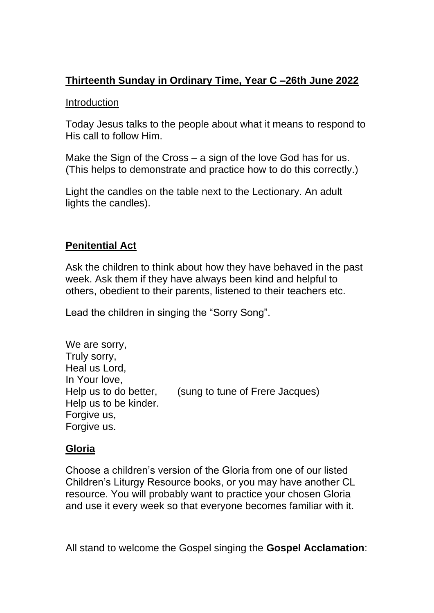# **Thirteenth Sunday in Ordinary Time, Year C –26th June 2022**

### Introduction

Today Jesus talks to the people about what it means to respond to His call to follow Him.

Make the Sign of the Cross – a sign of the love God has for us. (This helps to demonstrate and practice how to do this correctly.)

Light the candles on the table next to the Lectionary. An adult lights the candles).

## **Penitential Act**

Ask the children to think about how they have behaved in the past week. Ask them if they have always been kind and helpful to others, obedient to their parents, listened to their teachers etc.

Lead the children in singing the "Sorry Song".

| (sung to tune of Frere Jacques) |
|---------------------------------|
|                                 |
|                                 |
|                                 |
|                                 |

### **Gloria**

Choose a children's version of the Gloria from one of our listed Children's Liturgy Resource books, or you may have another CL resource. You will probably want to practice your chosen Gloria and use it every week so that everyone becomes familiar with it.

All stand to welcome the Gospel singing the **Gospel Acclamation**: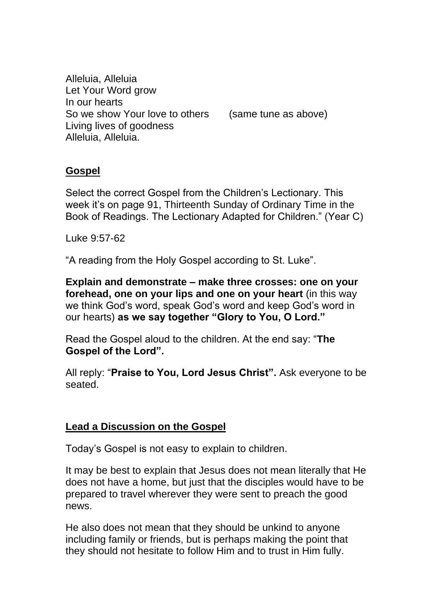Alleluia, Alleluia Let Your Word grow In our hearts So we show Your love to others (same tune as above) Living lives of goodness Alleluia, Alleluia.

### **Gospel**

Select the correct Gospel from the Children's Lectionary. This week it's on page 91, Thirteenth Sunday of Ordinary Time in the Book of Readings. The Lectionary Adapted for Children." (Year C)

Luke 9:57-62

"A reading from the Holy Gospel according to St. Luke".

**Explain and demonstrate – make three crosses: one on your forehead, one on your lips and one on your heart** (in this way we think God's word, speak God's word and keep God's word in our hearts) **as we say together "Glory to You, O Lord."** 

Read the Gospel aloud to the children. At the end say: "**The Gospel of the Lord".** 

All reply: "**Praise to You, Lord Jesus Christ".** Ask everyone to be seated.

#### **Lead a Discussion on the Gospel**

Today's Gospel is not easy to explain to children.

It may be best to explain that Jesus does not mean literally that He does not have a home, but just that the disciples would have to be prepared to travel wherever they were sent to preach the good news.

He also does not mean that they should be unkind to anyone including family or friends, but is perhaps making the point that they should not hesitate to follow Him and to trust in Him fully.